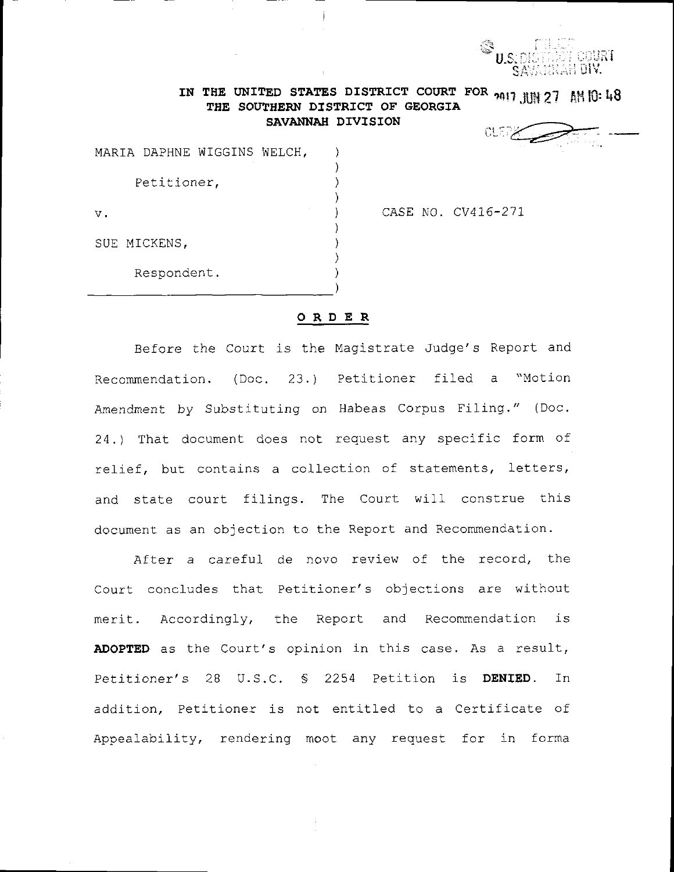

## IN THE UNITED STATES DISTRICT COURT FOR  $_{2017}$  HH 27 AM 10:48 THE SOUTHERN DISTRICT OF GEORGIA SAVANNAH DIVISION

**CLERK SOFTEN** 

|             |              | MARIA DAPHNE WIGGINS WELCH, |  |  |
|-------------|--------------|-----------------------------|--|--|
| Petitioner, |              |                             |  |  |
| ν.          |              |                             |  |  |
|             | SUE MICKENS, |                             |  |  |
|             | Respondent.  |                             |  |  |

## CASE NO. CV416-271

## ORDER

Before the Court is the Magistrate Judge's Report and Recommendation. (Doc. 23.) Petitioner filed a "Motion Amendment by Substituting on Habeas Corpus Filing." (Doc. 24.) That document does not request any specific form of relief, but contains a collection of statements, letters, and state court filings. The Court will construe this document as an objection to the Report and Recommendation.

After a careful de novo review of the record, the Court concludes that Petitioner's objections are without merit. Accordingly, the Report and Recommendation is ADOPTED as the Court's opinion in this case. As a result, Petitioner's 28 U.S.C. § 2254 Petition is DENIED.  $In$ addition, Petitioner is not entitled to a Certificate of Appealability, rendering moot any request for in forma